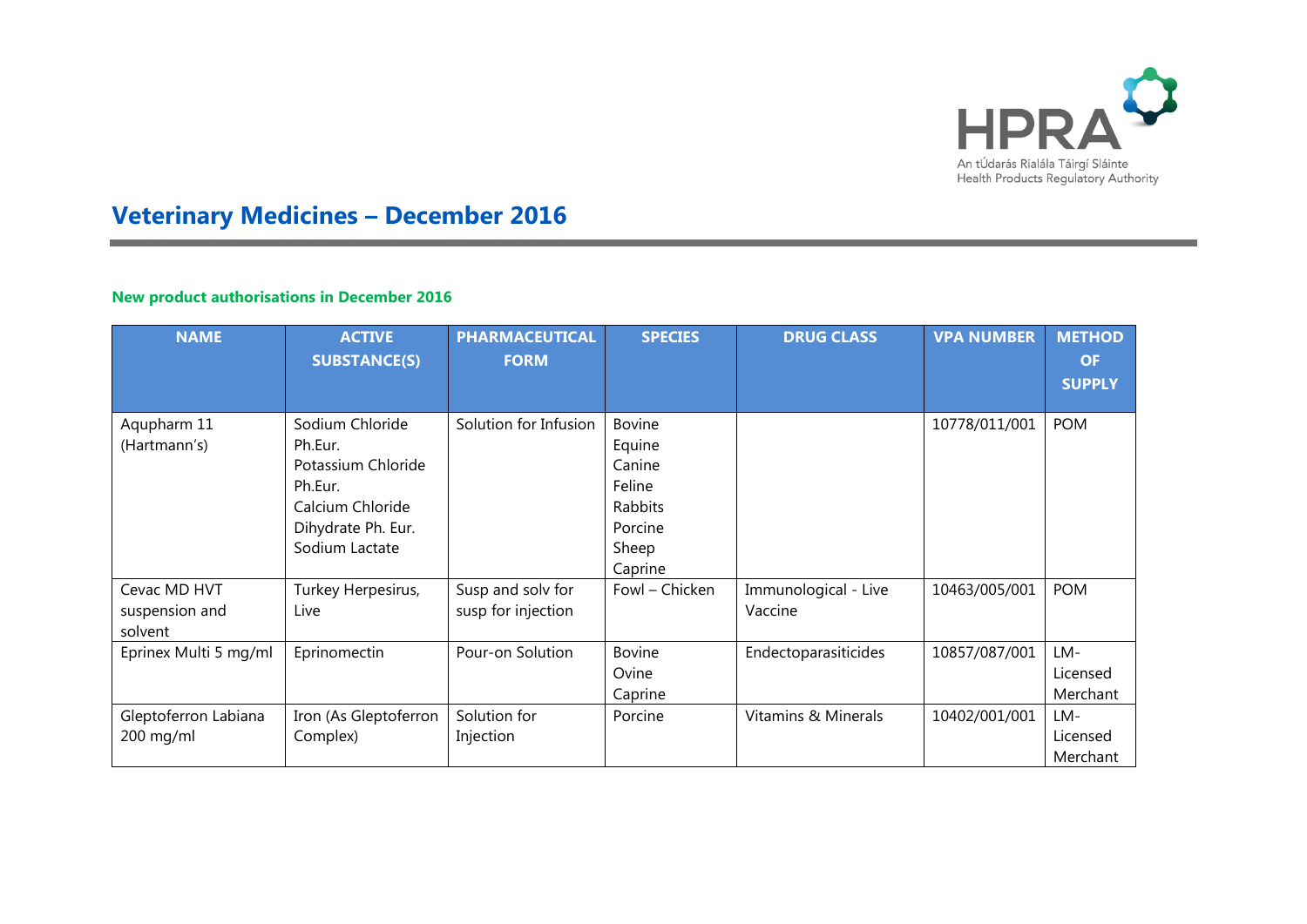

## **Veterinary Medicines – December 2016**

## **New product authorisations in December 2016**

| <b>NAME</b>                               | <b>ACTIVE</b><br><b>SUBSTANCE(S)</b>                                                                                    | <b>PHARMACEUTICAL</b><br><b>FORM</b>    | <b>SPECIES</b>                                                                        | <b>DRUG CLASS</b>               | <b>VPA NUMBER</b> | <b>METHOD</b><br><b>OF</b><br><b>SUPPLY</b> |
|-------------------------------------------|-------------------------------------------------------------------------------------------------------------------------|-----------------------------------------|---------------------------------------------------------------------------------------|---------------------------------|-------------------|---------------------------------------------|
| Aqupharm 11<br>(Hartmann's)               | Sodium Chloride<br>Ph.Eur.<br>Potassium Chloride<br>Ph.Eur.<br>Calcium Chloride<br>Dihydrate Ph. Eur.<br>Sodium Lactate | Solution for Infusion                   | <b>Bovine</b><br>Equine<br>Canine<br>Feline<br>Rabbits<br>Porcine<br>Sheep<br>Caprine |                                 | 10778/011/001     | <b>POM</b>                                  |
| Cevac MD HVT<br>suspension and<br>solvent | Turkey Herpesirus,<br>Live                                                                                              | Susp and solv for<br>susp for injection | Fowl - Chicken                                                                        | Immunological - Live<br>Vaccine | 10463/005/001     | <b>POM</b>                                  |
| Eprinex Multi 5 mg/ml                     | Eprinomectin                                                                                                            | Pour-on Solution                        | <b>Bovine</b><br>Ovine<br>Caprine                                                     | Endectoparasiticides            | 10857/087/001     | LM-<br>Licensed<br>Merchant                 |
| Gleptoferron Labiana<br>200 mg/ml         | Iron (As Gleptoferron<br>Complex)                                                                                       | Solution for<br>Injection               | Porcine                                                                               | Vitamins & Minerals             | 10402/001/001     | LM-<br>Licensed<br>Merchant                 |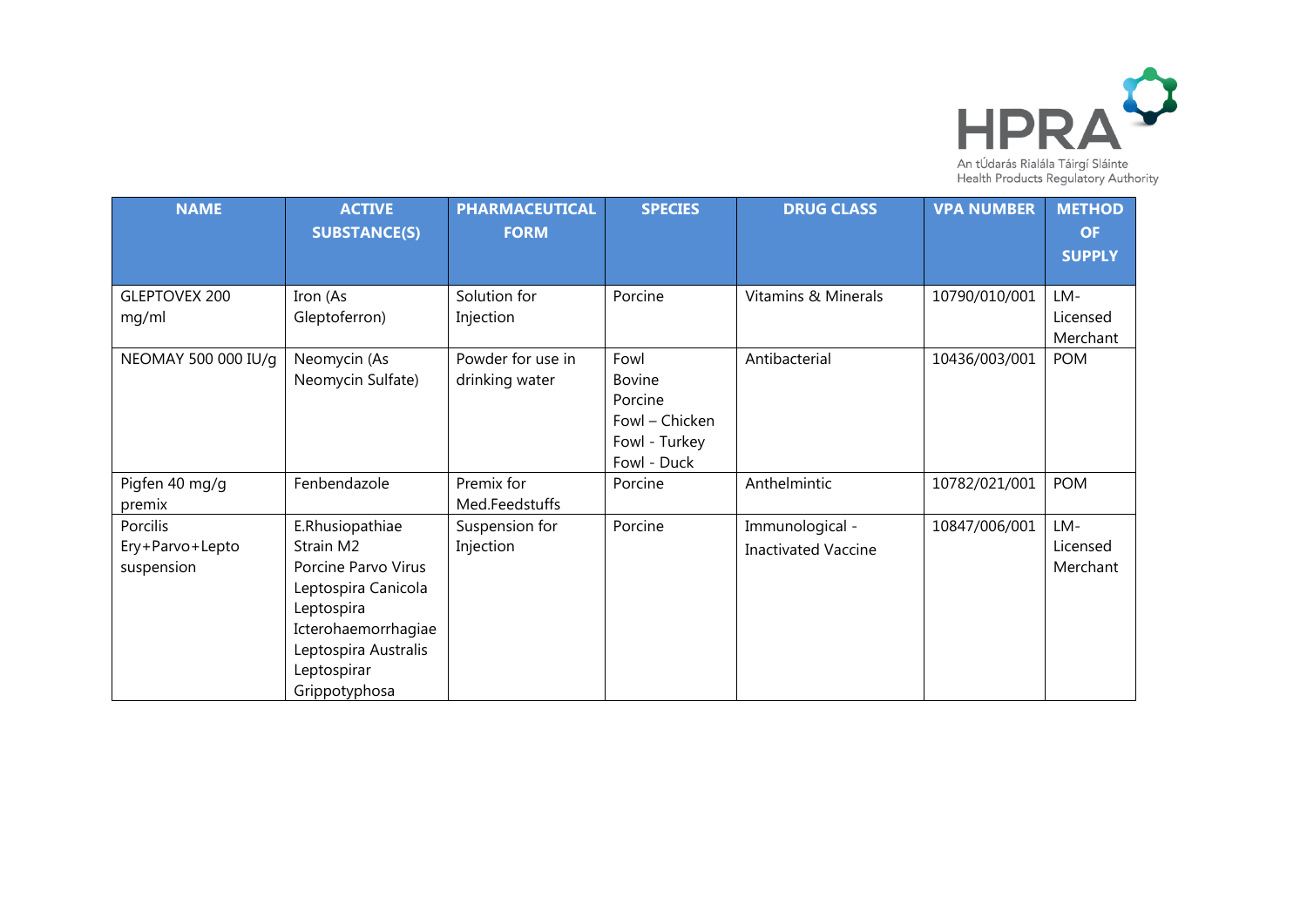

| <b>NAME</b>                               | <b>ACTIVE</b><br><b>SUBSTANCE(S)</b>                                                                                                                                    | <b>PHARMACEUTICAL</b><br><b>FORM</b> | <b>SPECIES</b>                                                                     | <b>DRUG CLASS</b>                             | <b>VPA NUMBER</b> | <b>METHOD</b><br><b>OF</b><br><b>SUPPLY</b> |
|-------------------------------------------|-------------------------------------------------------------------------------------------------------------------------------------------------------------------------|--------------------------------------|------------------------------------------------------------------------------------|-----------------------------------------------|-------------------|---------------------------------------------|
|                                           |                                                                                                                                                                         |                                      |                                                                                    |                                               |                   |                                             |
| <b>GLEPTOVEX 200</b><br>mg/ml             | Iron (As<br>Gleptoferron)                                                                                                                                               | Solution for<br>Injection            | Porcine                                                                            | Vitamins & Minerals                           | 10790/010/001     | LM-<br>Licensed<br>Merchant                 |
| NEOMAY 500 000 IU/g                       | Neomycin (As<br>Neomycin Sulfate)                                                                                                                                       | Powder for use in<br>drinking water  | Fowl<br><b>Bovine</b><br>Porcine<br>Fowl - Chicken<br>Fowl - Turkey<br>Fowl - Duck | Antibacterial                                 | 10436/003/001     | <b>POM</b>                                  |
| Pigfen 40 mg/g<br>premix                  | Fenbendazole                                                                                                                                                            | Premix for<br>Med.Feedstuffs         | Porcine                                                                            | Anthelmintic                                  | 10782/021/001     | <b>POM</b>                                  |
| Porcilis<br>Ery+Parvo+Lepto<br>suspension | E.Rhusiopathiae<br>Strain M2<br>Porcine Parvo Virus<br>Leptospira Canicola<br>Leptospira<br>Icterohaemorrhagiae<br>Leptospira Australis<br>Leptospirar<br>Grippotyphosa | Suspension for<br>Injection          | Porcine                                                                            | Immunological -<br><b>Inactivated Vaccine</b> | 10847/006/001     | LM-<br>Licensed<br>Merchant                 |